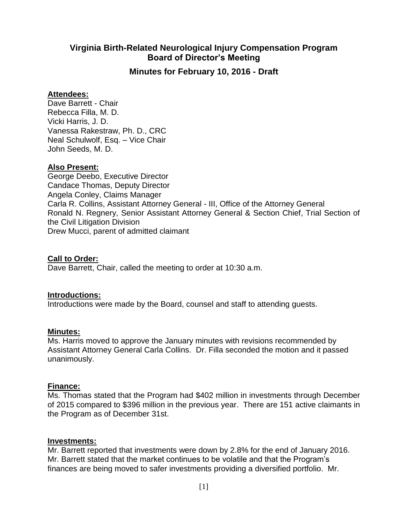# **Virginia Birth-Related Neurological Injury Compensation Program Board of Director's Meeting**

**Minutes for February 10, 2016 - Draft**

### **Attendees:**

Dave Barrett - Chair Rebecca Filla, M. D. Vicki Harris, J. D. Vanessa Rakestraw, Ph. D., CRC Neal Schulwolf, Esq. – Vice Chair John Seeds, M. D.

### **Also Present:**

George Deebo, Executive Director Candace Thomas, Deputy Director Angela Conley, Claims Manager Carla R. Collins, Assistant Attorney General - III, Office of the Attorney General Ronald N. Regnery, Senior Assistant Attorney General & Section Chief, Trial Section of the Civil Litigation Division Drew Mucci, parent of admitted claimant

**Call to Order:** Dave Barrett, Chair, called the meeting to order at 10:30 a.m.

### **Introductions:**

Introductions were made by the Board, counsel and staff to attending guests.

### **Minutes:**

Ms. Harris moved to approve the January minutes with revisions recommended by Assistant Attorney General Carla Collins. Dr. Filla seconded the motion and it passed unanimously.

### **Finance:**

Ms. Thomas stated that the Program had \$402 million in investments through December of 2015 compared to \$396 million in the previous year. There are 151 active claimants in the Program as of December 31st.

### **Investments:**

Mr. Barrett reported that investments were down by 2.8% for the end of January 2016. Mr. Barrett stated that the market continues to be volatile and that the Program's finances are being moved to safer investments providing a diversified portfolio. Mr.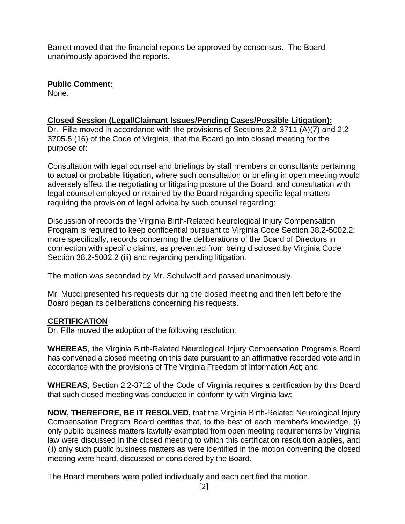Barrett moved that the financial reports be approved by consensus. The Board unanimously approved the reports.

# **Public Comment:**

None.

# **Closed Session (Legal/Claimant Issues/Pending Cases/Possible Litigation):**

Dr. Filla moved in accordance with the provisions of Sections 2.2-3711 (A)(7) and 2.2- 3705.5 (16) of the Code of Virginia, that the Board go into closed meeting for the purpose of:

Consultation with legal counsel and briefings by staff members or consultants pertaining to actual or probable litigation, where such consultation or briefing in open meeting would adversely affect the negotiating or litigating posture of the Board, and consultation with legal counsel employed or retained by the Board regarding specific legal matters requiring the provision of legal advice by such counsel regarding:

Discussion of records the Virginia Birth-Related Neurological Injury Compensation Program is required to keep confidential pursuant to Virginia Code Section 38.2-5002.2; more specifically, records concerning the deliberations of the Board of Directors in connection with specific claims, as prevented from being disclosed by Virginia Code Section 38.2-5002.2 (iii) and regarding pending litigation.

The motion was seconded by Mr. Schulwolf and passed unanimously.

Mr. Mucci presented his requests during the closed meeting and then left before the Board began its deliberations concerning his requests.

# **CERTIFICATION**

Dr. Filla moved the adoption of the following resolution:

**WHEREAS**, the Virginia Birth-Related Neurological Injury Compensation Program's Board has convened a closed meeting on this date pursuant to an affirmative recorded vote and in accordance with the provisions of The Virginia Freedom of Information Act; and

**WHEREAS**, Section 2.2-3712 of the Code of Virginia requires a certification by this Board that such closed meeting was conducted in conformity with Virginia law;

**NOW, THEREFORE, BE IT RESOLVED,** that the Virginia Birth-Related Neurological Injury Compensation Program Board certifies that, to the best of each member's knowledge, (i) only public business matters lawfully exempted from open meeting requirements by Virginia law were discussed in the closed meeting to which this certification resolution applies, and (ii) only such public business matters as were identified in the motion convening the closed meeting were heard, discussed or considered by the Board.

The Board members were polled individually and each certified the motion.